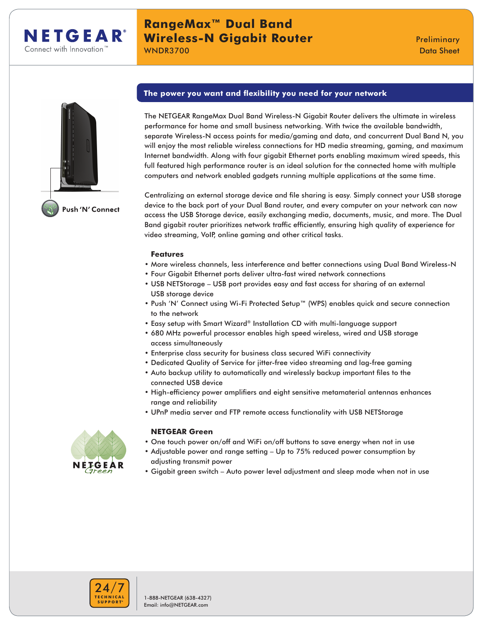

# **RangeMax™ Dual Band Wireless-N Gigabit Router Manual Communist Preliminary**

WNDR3700 Data Sheet



# **The power you want and flexibility you need for your network**

The NETGEAR RangeMax Dual Band Wireless-N Gigabit Router delivers the ultimate in wireless performance for home and small business networking. With twice the available bandwidth, separate Wireless-N access points for media/gaming and data, and concurrent Dual Band N, you will enjoy the most reliable wireless connections for HD media streaming, gaming, and maximum Internet bandwidth. Along with four gigabit Ethernet ports enabling maximum wired speeds, this full featured high performance router is an ideal solution for the connected home with multiple computers and network enabled gadgets running multiple applications at the same time.

Centralizing an external storage device and file sharing is easy. Simply connect your USB storage device to the back port of your Dual Band router, and every computer on your network can now access the USB Storage device, easily exchanging media, documents, music, and more. The Dual Band gigabit router prioritizes network traffic efficiently, ensuring high quality of experience for video streaming, VoIP, online gaming and other critical tasks.

## **Features**

- More wireless channels, less interference and better connections using Dual Band Wireless-N
- Four Gigabit Ethernet ports deliver ultra-fast wired network connections
- USB NETStorage USB port provides easy and fast access for sharing of an external USB storage device
- Push 'N' Connect using Wi-Fi Protected Setup™ (WPS) enables quick and secure connection to the network
- Easy setup with Smart Wizard® Installation CD with multi-language support
- 680 MHz powerful processor enables high speed wireless, wired and USB storage access simultaneously
- Enterprise class security for business class secured WiFi connectivity
- Dedicated Quality of Service for jitter-free video streaming and lag-free gaming
- Auto backup utility to automatically and wirelessly backup important files to the connected USB device
- High-efficiency power amplifiers and eight sensitive metamaterial antennas enhances range and reliability
- UPnP media server and FTP remote access functionality with USB NETStorage



## **NETGEAR Green**

- One touch power on/off and WiFi on/off buttons to save energy when not in use
- Adjustable power and range setting Up to 75% reduced power consumption by adjusting transmit power
- Gigabit green switch Auto power level adjustment and sleep mode when not in use